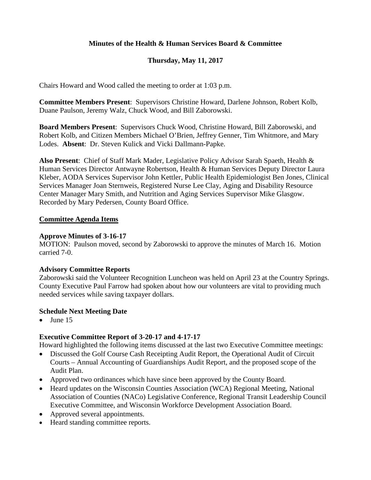# **Minutes of the Health & Human Services Board & Committee**

# **Thursday, May 11, 2017**

Chairs Howard and Wood called the meeting to order at 1:03 p.m.

**Committee Members Present**: Supervisors Christine Howard, Darlene Johnson, Robert Kolb, Duane Paulson, Jeremy Walz, Chuck Wood, and Bill Zaborowski.

**Board Members Present**: Supervisors Chuck Wood, Christine Howard, Bill Zaborowski, and Robert Kolb, and Citizen Members Michael O'Brien, Jeffrey Genner, Tim Whitmore, and Mary Lodes. **Absent**: Dr. Steven Kulick and Vicki Dallmann-Papke.

**Also Present**: Chief of Staff Mark Mader, Legislative Policy Advisor Sarah Spaeth, Health & Human Services Director Antwayne Robertson, Health & Human Services Deputy Director Laura Kleber, AODA Services Supervisor John Kettler, Public Health Epidemiologist Ben Jones, Clinical Services Manager Joan Sternweis, Registered Nurse Lee Clay, Aging and Disability Resource Center Manager Mary Smith, and Nutrition and Aging Services Supervisor Mike Glasgow. Recorded by Mary Pedersen, County Board Office.

### **Committee Agenda Items**

#### **Approve Minutes of 3-16-17**

MOTION: Paulson moved, second by Zaborowski to approve the minutes of March 16. Motion carried 7-0.

### **Advisory Committee Reports**

Zaborowski said the Volunteer Recognition Luncheon was held on April 23 at the Country Springs. County Executive Paul Farrow had spoken about how our volunteers are vital to providing much needed services while saving taxpayer dollars.

### **Schedule Next Meeting Date**

 $\bullet$  June 15

### **Executive Committee Report of 3-20-17 and 4-17-17**

Howard highlighted the following items discussed at the last two Executive Committee meetings:

- Discussed the Golf Course Cash Receipting Audit Report, the Operational Audit of Circuit Courts – Annual Accounting of Guardianships Audit Report, and the proposed scope of the Audit Plan.
- Approved two ordinances which have since been approved by the County Board.
- Heard updates on the Wisconsin Counties Association (WCA) Regional Meeting, National Association of Counties (NACo) Legislative Conference, Regional Transit Leadership Council Executive Committee, and Wisconsin Workforce Development Association Board.
- Approved several appointments.
- Heard standing committee reports.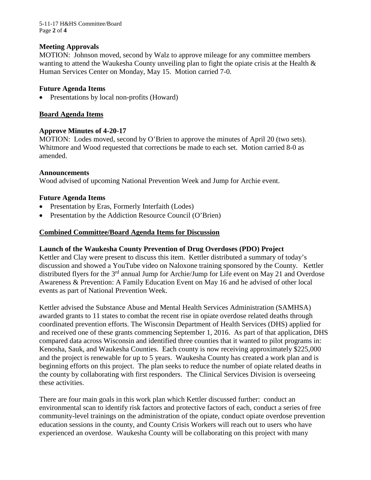5-11-17 H&HS Committee/Board Page **2** of **4**

### **Meeting Approvals**

MOTION: Johnson moved, second by Walz to approve mileage for any committee members wanting to attend the Waukesha County unveiling plan to fight the opiate crisis at the Health & Human Services Center on Monday, May 15. Motion carried 7-0.

### **Future Agenda Items**

• Presentations by local non-profits (Howard)

## **Board Agenda Items**

### **Approve Minutes of 4-20-17**

MOTION: Lodes moved, second by O'Brien to approve the minutes of April 20 (two sets). Whitmore and Wood requested that corrections be made to each set. Motion carried 8-0 as amended.

#### **Announcements**

Wood advised of upcoming National Prevention Week and Jump for Archie event.

### **Future Agenda Items**

- Presentation by Eras, Formerly Interfaith (Lodes)
- Presentation by the Addiction Resource Council (O'Brien)

### **Combined Committee/Board Agenda Items for Discussion**

### **Launch of the Waukesha County Prevention of Drug Overdoses (PDO) Project**

Kettler and Clay were present to discuss this item. Kettler distributed a summary of today's discussion and showed a YouTube video on Naloxone training sponsored by the County. Kettler distributed flyers for the 3<sup>rd</sup> annual Jump for Archie/Jump for Life event on May 21 and Overdose Awareness & Prevention: A Family Education Event on May 16 and he advised of other local events as part of National Prevention Week.

Kettler advised the Substance Abuse and Mental Health Services Administration (SAMHSA) awarded grants to 11 states to combat the recent rise in opiate overdose related deaths through coordinated prevention efforts. The Wisconsin Department of Health Services (DHS) applied for and received one of these grants commencing September 1, 2016. As part of that application, DHS compared data across Wisconsin and identified three counties that it wanted to pilot programs in: Kenosha, Sauk, and Waukesha Counties. Each county is now receiving approximately \$225,000 and the project is renewable for up to 5 years. Waukesha County has created a work plan and is beginning efforts on this project. The plan seeks to reduce the number of opiate related deaths in the county by collaborating with first responders. The Clinical Services Division is overseeing these activities.

There are four main goals in this work plan which Kettler discussed further: conduct an environmental scan to identify risk factors and protective factors of each, conduct a series of free community-level trainings on the administration of the opiate, conduct opiate overdose prevention education sessions in the county, and County Crisis Workers will reach out to users who have experienced an overdose. Waukesha County will be collaborating on this project with many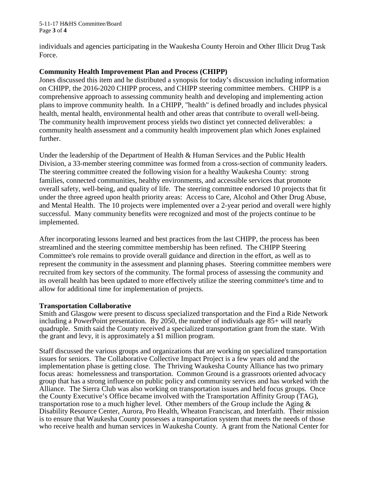5-11-17 H&HS Committee/Board Page **3** of **4**

individuals and agencies participating in the Waukesha County Heroin and Other Illicit Drug Task Force.

## **Community Health Improvement Plan and Process (CHIPP)**

Jones discussed this item and he distributed a synopsis for today's discussion including information on CHIPP, the 2016-2020 CHIPP process, and CHIPP steering committee members. CHIPP is a comprehensive approach to assessing community health and developing and implementing action plans to improve community health. In a CHIPP, "health" is defined broadly and includes physical health, mental health, environmental health and other areas that contribute to overall well-being. The community health improvement process yields two distinct yet connected deliverables: a community health assessment and a community health improvement plan which Jones explained further.

Under the leadership of the Department of Health & Human Services and the Public Health Division, a 33-member steering committee was formed from a cross-section of community leaders. The steering committee created the following vision for a healthy Waukesha County: strong families, connected communities, healthy environments, and accessible services that promote overall safety, well-being, and quality of life. The steering committee endorsed 10 projects that fit under the three agreed upon health priority areas: Access to Care, Alcohol and Other Drug Abuse, and Mental Health. The 10 projects were implemented over a 2-year period and overall were highly successful. Many community benefits were recognized and most of the projects continue to be implemented.

After incorporating lessons learned and best practices from the last CHIPP, the process has been streamlined and the steering committee membership has been refined. The CHIPP Steering Committee's role remains to provide overall guidance and direction in the effort, as well as to represent the community in the assessment and planning phases. Steering committee members were recruited from key sectors of the community. The formal process of assessing the community and its overall health has been updated to more effectively utilize the steering committee's time and to allow for additional time for implementation of projects.

### **Transportation Collaborative**

Smith and Glasgow were present to discuss specialized transportation and the Find a Ride Network including a PowerPoint presentation. By 2050, the number of individuals age 85+ will nearly quadruple. Smith said the County received a specialized transportation grant from the state. With the grant and levy, it is approximately a \$1 million program.

Staff discussed the various groups and organizations that are working on specialized transportation issues for seniors. The Collaborative Collective Impact Project is a few years old and the implementation phase is getting close. The Thriving Waukesha County Alliance has two primary focus areas: homelessness and transportation. Common Ground is a grassroots oriented advocacy group that has a strong influence on public policy and community services and has worked with the Alliance. The Sierra Club was also working on transportation issues and held focus groups. Once the County Executive's Office became involved with the Transportation Affinity Group (TAG), transportation rose to a much higher level. Other members of the Group include the Aging  $\&$ Disability Resource Center, Aurora, Pro Health, Wheaton Franciscan, and Interfaith. Their mission is to ensure that Waukesha County possesses a transportation system that meets the needs of those who receive health and human services in Waukesha County. A grant from the National Center for